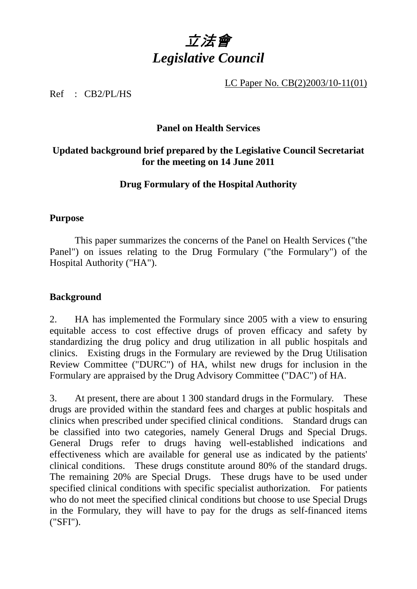

LC Paper No. CB(2)2003/10-11(01)

Ref : CB2/PL/HS

# **Panel on Health Services**

# **Updated background brief prepared by the Legislative Council Secretariat for the meeting on 14 June 2011**

# **Drug Formulary of the Hospital Authority**

#### **Purpose**

1. This paper summarizes the concerns of the Panel on Health Services ("the Panel") on issues relating to the Drug Formulary ("the Formulary") of the Hospital Authority ("HA").

#### **Background**

2. HA has implemented the Formulary since 2005 with a view to ensuring equitable access to cost effective drugs of proven efficacy and safety by standardizing the drug policy and drug utilization in all public hospitals and clinics. Existing drugs in the Formulary are reviewed by the Drug Utilisation Review Committee ("DURC") of HA, whilst new drugs for inclusion in the Formulary are appraised by the Drug Advisory Committee ("DAC") of HA.

3. At present, there are about 1 300 standard drugs in the Formulary. These drugs are provided within the standard fees and charges at public hospitals and clinics when prescribed under specified clinical conditions. Standard drugs can be classified into two categories, namely General Drugs and Special Drugs. General Drugs refer to drugs having well-established indications and effectiveness which are available for general use as indicated by the patients' clinical conditions. These drugs constitute around 80% of the standard drugs. The remaining 20% are Special Drugs. These drugs have to be used under specified clinical conditions with specific specialist authorization. For patients who do not meet the specified clinical conditions but choose to use Special Drugs in the Formulary, they will have to pay for the drugs as self-financed items ("SFI").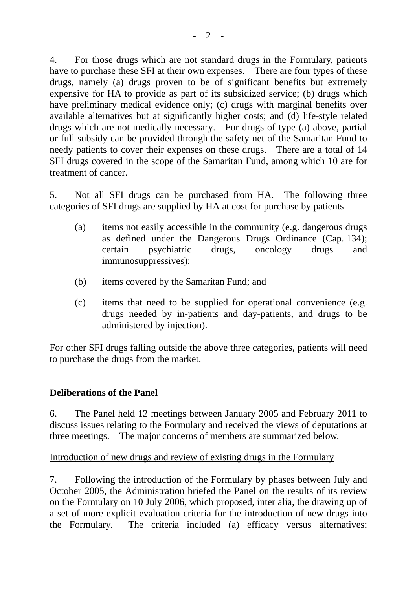4. For those drugs which are not standard drugs in the Formulary, patients have to purchase these SFI at their own expenses. There are four types of these drugs, namely (a) drugs proven to be of significant benefits but extremely expensive for HA to provide as part of its subsidized service; (b) drugs which have preliminary medical evidence only; (c) drugs with marginal benefits over available alternatives but at significantly higher costs; and (d) life-style related drugs which are not medically necessary. For drugs of type (a) above, partial or full subsidy can be provided through the safety net of the Samaritan Fund to needy patients to cover their expenses on these drugs. There are a total of 14 SFI drugs covered in the scope of the Samaritan Fund, among which 10 are for treatment of cancer.

5. Not all SFI drugs can be purchased from HA. The following three categories of SFI drugs are supplied by HA at cost for purchase by patients –

- (a) items not easily accessible in the community (e.g. dangerous drugs as defined under the Dangerous Drugs Ordinance (Cap. 134); certain psychiatric drugs, oncology drugs and immunosuppressives);
- (b) items covered by the Samaritan Fund; and
- (c) items that need to be supplied for operational convenience (e.g. drugs needed by in-patients and day-patients, and drugs to be administered by injection).

For other SFI drugs falling outside the above three categories, patients will need to purchase the drugs from the market.

#### **Deliberations of the Panel**

6. The Panel held 12 meetings between January 2005 and February 2011 to discuss issues relating to the Formulary and received the views of deputations at three meetings. The major concerns of members are summarized below.

#### Introduction of new drugs and review of existing drugs in the Formulary

7. Following the introduction of the Formulary by phases between July and October 2005, the Administration briefed the Panel on the results of its review on the Formulary on 10 July 2006, which proposed, inter alia, the drawing up of a set of more explicit evaluation criteria for the introduction of new drugs into the Formulary. The criteria included (a) efficacy versus alternatives;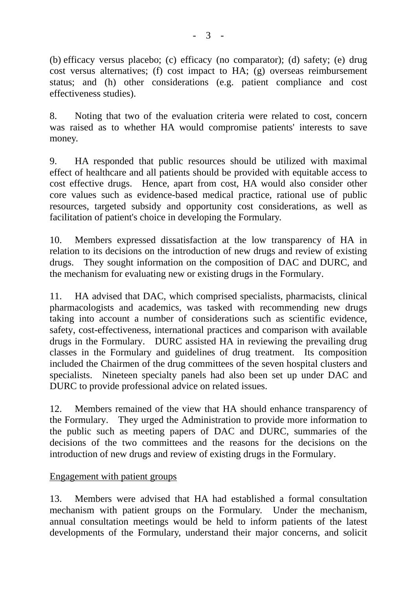(b) efficacy versus placebo; (c) efficacy (no comparator); (d) safety; (e) drug cost versus alternatives; (f) cost impact to HA; (g) overseas reimbursement status; and (h) other considerations (e.g. patient compliance and cost effectiveness studies).

8. Noting that two of the evaluation criteria were related to cost, concern was raised as to whether HA would compromise patients' interests to save money.

9. HA responded that public resources should be utilized with maximal effect of healthcare and all patients should be provided with equitable access to cost effective drugs. Hence, apart from cost, HA would also consider other core values such as evidence-based medical practice, rational use of public resources, targeted subsidy and opportunity cost considerations, as well as facilitation of patient's choice in developing the Formulary.

10. Members expressed dissatisfaction at the low transparency of HA in relation to its decisions on the introduction of new drugs and review of existing drugs. They sought information on the composition of DAC and DURC, and the mechanism for evaluating new or existing drugs in the Formulary.

11. HA advised that DAC, which comprised specialists, pharmacists, clinical pharmacologists and academics, was tasked with recommending new drugs taking into account a number of considerations such as scientific evidence, safety, cost-effectiveness, international practices and comparison with available drugs in the Formulary. DURC assisted HA in reviewing the prevailing drug classes in the Formulary and guidelines of drug treatment. Its composition included the Chairmen of the drug committees of the seven hospital clusters and specialists. Nineteen specialty panels had also been set up under DAC and DURC to provide professional advice on related issues.

12. Members remained of the view that HA should enhance transparency of the Formulary. They urged the Administration to provide more information to the public such as meeting papers of DAC and DURC, summaries of the decisions of the two committees and the reasons for the decisions on the introduction of new drugs and review of existing drugs in the Formulary.

# Engagement with patient groups

13. Members were advised that HA had established a formal consultation mechanism with patient groups on the Formulary. Under the mechanism, annual consultation meetings would be held to inform patients of the latest developments of the Formulary, understand their major concerns, and solicit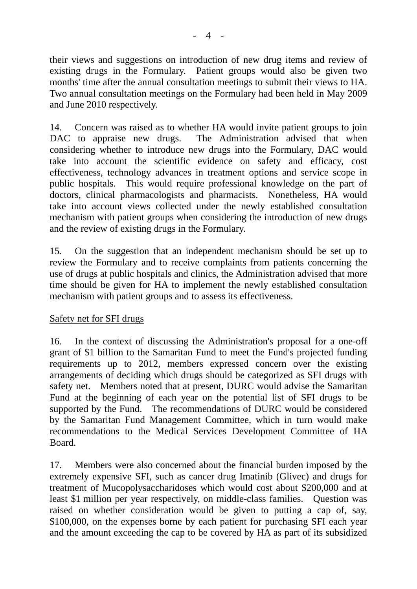their views and suggestions on introduction of new drug items and review of existing drugs in the Formulary. Patient groups would also be given two months' time after the annual consultation meetings to submit their views to HA. Two annual consultation meetings on the Formulary had been held in May 2009 and June 2010 respectively.

14. Concern was raised as to whether HA would invite patient groups to join DAC to appraise new drugs. The Administration advised that when considering whether to introduce new drugs into the Formulary, DAC would take into account the scientific evidence on safety and efficacy, cost effectiveness, technology advances in treatment options and service scope in public hospitals. This would require professional knowledge on the part of doctors, clinical pharmacologists and pharmacists. Nonetheless, HA would take into account views collected under the newly established consultation mechanism with patient groups when considering the introduction of new drugs and the review of existing drugs in the Formulary.

15. On the suggestion that an independent mechanism should be set up to review the Formulary and to receive complaints from patients concerning the use of drugs at public hospitals and clinics, the Administration advised that more time should be given for HA to implement the newly established consultation mechanism with patient groups and to assess its effectiveness.

# Safety net for SFI drugs

16. In the context of discussing the Administration's proposal for a one-off grant of \$1 billion to the Samaritan Fund to meet the Fund's projected funding requirements up to 2012, members expressed concern over the existing arrangements of deciding which drugs should be categorized as SFI drugs with safety net. Members noted that at present, DURC would advise the Samaritan Fund at the beginning of each year on the potential list of SFI drugs to be supported by the Fund. The recommendations of DURC would be considered by the Samaritan Fund Management Committee, which in turn would make recommendations to the Medical Services Development Committee of HA Board.

17. Members were also concerned about the financial burden imposed by the extremely expensive SFI, such as cancer drug Imatinib (Glivec) and drugs for treatment of Mucopolysaccharidoses which would cost about \$200,000 and at least \$1 million per year respectively, on middle-class families. Question was raised on whether consideration would be given to putting a cap of, say, \$100,000, on the expenses borne by each patient for purchasing SFI each year and the amount exceeding the cap to be covered by HA as part of its subsidized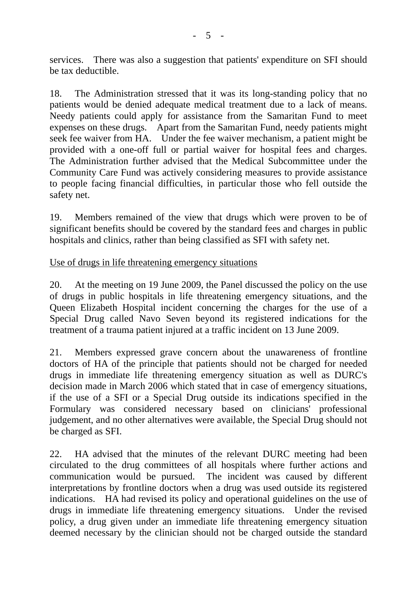services. There was also a suggestion that patients' expenditure on SFI should be tax deductible.

18. The Administration stressed that it was its long-standing policy that no patients would be denied adequate medical treatment due to a lack of means. Needy patients could apply for assistance from the Samaritan Fund to meet expenses on these drugs. Apart from the Samaritan Fund, needy patients might seek fee waiver from HA. Under the fee waiver mechanism, a patient might be provided with a one-off full or partial waiver for hospital fees and charges. The Administration further advised that the Medical Subcommittee under the Community Care Fund was actively considering measures to provide assistance to people facing financial difficulties, in particular those who fell outside the safety net.

19. Members remained of the view that drugs which were proven to be of significant benefits should be covered by the standard fees and charges in public hospitals and clinics, rather than being classified as SFI with safety net.

Use of drugs in life threatening emergency situations

20. At the meeting on 19 June 2009, the Panel discussed the policy on the use of drugs in public hospitals in life threatening emergency situations, and the Queen Elizabeth Hospital incident concerning the charges for the use of a Special Drug called Navo Seven beyond its registered indications for the treatment of a trauma patient injured at a traffic incident on 13 June 2009.

21. Members expressed grave concern about the unawareness of frontline doctors of HA of the principle that patients should not be charged for needed drugs in immediate life threatening emergency situation as well as DURC's decision made in March 2006 which stated that in case of emergency situations, if the use of a SFI or a Special Drug outside its indications specified in the Formulary was considered necessary based on clinicians' professional judgement, and no other alternatives were available, the Special Drug should not be charged as SFI.

22. HA advised that the minutes of the relevant DURC meeting had been circulated to the drug committees of all hospitals where further actions and communication would be pursued. The incident was caused by different interpretations by frontline doctors when a drug was used outside its registered indications. HA had revised its policy and operational guidelines on the use of drugs in immediate life threatening emergency situations. Under the revised policy, a drug given under an immediate life threatening emergency situation deemed necessary by the clinician should not be charged outside the standard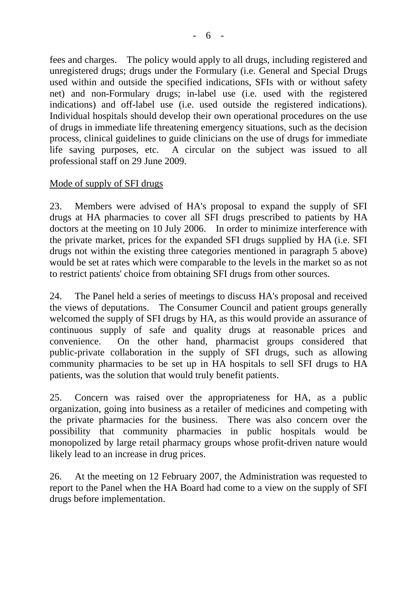fees and charges. The policy would apply to all drugs, including registered and unregistered drugs; drugs under the Formulary (i.e. General and Special Drugs used within and outside the specified indications, SFIs with or without safety net) and non-Formulary drugs; in-label use (i.e. used with the registered indications) and off-label use (i.e. used outside the registered indications). Individual hospitals should develop their own operational procedures on the use of drugs in immediate life threatening emergency situations, such as the decision process, clinical guidelines to guide clinicians on the use of drugs for immediate life saving purposes, etc. A circular on the subject was issued to all professional staff on 29 June 2009.

# Mode of supply of SFI drugs

23. Members were advised of HA's proposal to expand the supply of SFI drugs at HA pharmacies to cover all SFI drugs prescribed to patients by HA doctors at the meeting on 10 July 2006. In order to minimize interference with the private market, prices for the expanded SFI drugs supplied by HA (i.e. SFI drugs not within the existing three categories mentioned in paragraph 5 above) would be set at rates which were comparable to the levels in the market so as not to restrict patients' choice from obtaining SFI drugs from other sources.

24. The Panel held a series of meetings to discuss HA's proposal and received the views of deputations. The Consumer Council and patient groups generally welcomed the supply of SFI drugs by HA, as this would provide an assurance of continuous supply of safe and quality drugs at reasonable prices and convenience. On the other hand, pharmacist groups considered that public-private collaboration in the supply of SFI drugs, such as allowing community pharmacies to be set up in HA hospitals to sell SFI drugs to HA patients, was the solution that would truly benefit patients.

25. Concern was raised over the appropriateness for HA, as a public organization, going into business as a retailer of medicines and competing with the private pharmacies for the business. There was also concern over the possibility that community pharmacies in public hospitals would be monopolized by large retail pharmacy groups whose profit-driven nature would likely lead to an increase in drug prices.

26. At the meeting on 12 February 2007, the Administration was requested to report to the Panel when the HA Board had come to a view on the supply of SFI drugs before implementation.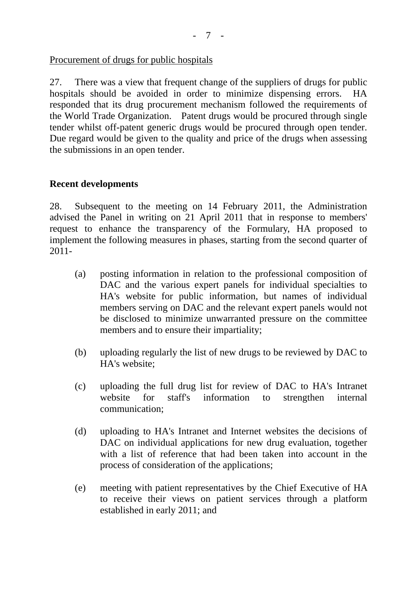#### Procurement of drugs for public hospitals

27. There was a view that frequent change of the suppliers of drugs for public hospitals should be avoided in order to minimize dispensing errors. HA responded that its drug procurement mechanism followed the requirements of the World Trade Organization. Patent drugs would be procured through single tender whilst off-patent generic drugs would be procured through open tender. Due regard would be given to the quality and price of the drugs when assessing the submissions in an open tender.

### **Recent developments**

28. Subsequent to the meeting on 14 February 2011, the Administration advised the Panel in writing on 21 April 2011 that in response to members' request to enhance the transparency of the Formulary, HA proposed to implement the following measures in phases, starting from the second quarter of 2011-

- (a) posting information in relation to the professional composition of DAC and the various expert panels for individual specialties to HA's website for public information, but names of individual members serving on DAC and the relevant expert panels would not be disclosed to minimize unwarranted pressure on the committee members and to ensure their impartiality;
- (b) uploading regularly the list of new drugs to be reviewed by DAC to HA's website;
- (c) uploading the full drug list for review of DAC to HA's Intranet website for staff's information to strengthen internal communication;
- (d) uploading to HA's Intranet and Internet websites the decisions of DAC on individual applications for new drug evaluation, together with a list of reference that had been taken into account in the process of consideration of the applications;
- (e) meeting with patient representatives by the Chief Executive of HA to receive their views on patient services through a platform established in early 2011; and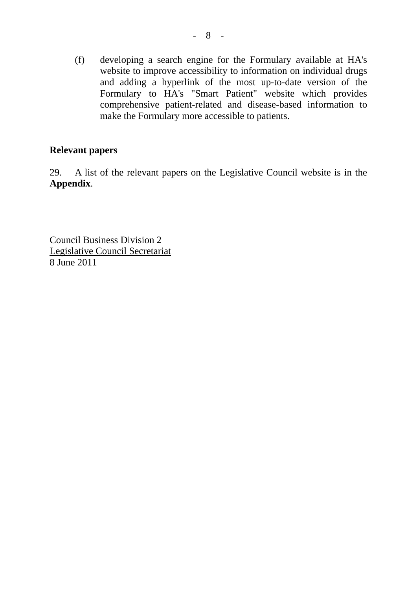(f) developing a search engine for the Formulary available at HA's website to improve accessibility to information on individual drugs and adding a hyperlink of the most up-to-date version of the Formulary to HA's "Smart Patient" website which provides comprehensive patient-related and disease-based information to make the Formulary more accessible to patients.

### **Relevant papers**

29. A list of the relevant papers on the Legislative Council website is in the **Appendix**.

Council Business Division 2 Legislative Council Secretariat 8 June 2011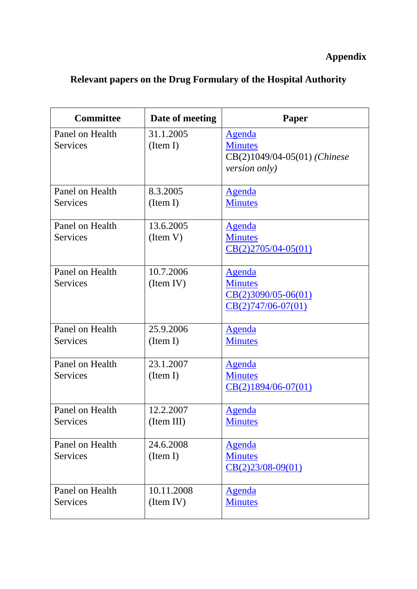# **Appendix**

# **Relevant papers on the Drug Formulary of the Hospital Authority**

| <b>Committee</b> | Date of meeting | Paper                        |
|------------------|-----------------|------------------------------|
| Panel on Health  | 31.1.2005       | Agenda                       |
| <b>Services</b>  | (Item I)        | <b>Minutes</b>               |
|                  |                 | CB(2)1049/04-05(01) (Chinese |
|                  |                 | <i>version only)</i>         |
|                  |                 |                              |
| Panel on Health  | 8.3.2005        | <b>Agenda</b>                |
| <b>Services</b>  | (Item I)        | <b>Minutes</b>               |
|                  |                 |                              |
| Panel on Health  | 13.6.2005       | <b>Agenda</b>                |
| <b>Services</b>  | (Item V)        | <b>Minutes</b>               |
|                  |                 | $CB(2)2705/04-05(01)$        |
|                  |                 |                              |
| Panel on Health  | 10.7.2006       | <u>Agenda</u>                |
| Services         | (Item IV)       | <b>Minutes</b>               |
|                  |                 | $CB(2)3090/05-06(01)$        |
|                  |                 | $CB(2)747/06-07(01)$         |
|                  |                 |                              |
| Panel on Health  | 25.9.2006       | <b>Agenda</b>                |
| Services         | (Item I)        | <b>Minutes</b>               |
|                  |                 |                              |
| Panel on Health  | 23.1.2007       | <b>Agenda</b>                |
| Services         | (Item I)        | <b>Minutes</b>               |
|                  |                 | $CB(2)1894/06-07(01)$        |
|                  |                 |                              |
| Panel on Health  | 12.2.2007       | <u>Agenda</u>                |
| Services         | (Item III)      | <b>Minutes</b>               |
|                  |                 |                              |
| Panel on Health  | 24.6.2008       | <b>Agenda</b>                |
| <b>Services</b>  | (Item I)        | <b>Minutes</b>               |
|                  |                 | $CB(2)23/08-09(01)$          |
|                  |                 |                              |
| Panel on Health  | 10.11.2008      | <b>Agenda</b>                |
| <b>Services</b>  | (Item IV)       | <b>Minutes</b>               |
|                  |                 |                              |